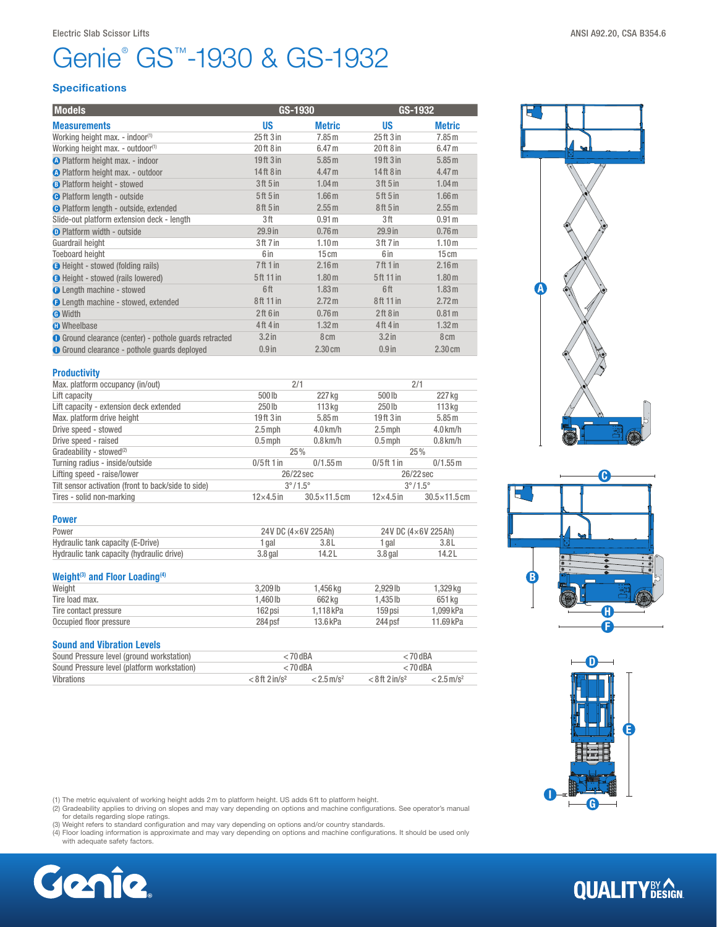# Genie® GS™-1930 & GS-1932

### **Specifications**

| <b>Models</b>                                          | GS-1930                         |                   | GS-1932                          |                   |
|--------------------------------------------------------|---------------------------------|-------------------|----------------------------------|-------------------|
| <b>Measurements</b>                                    | <b>US</b>                       | <b>Metric</b>     | <b>US</b>                        | <b>Metric</b>     |
| Working height max. - indoor <sup>(1)</sup>            | $25$ ft $3$ in                  | 7.85m             | 25 <sup>ft</sup> 3 <sup>in</sup> | 7.85m             |
| Working height max. - outdoor <sup>(1)</sup>           | $20$ ft $8$ in                  | 6.47 <sub>m</sub> | 20ft 8 in                        | 6.47 <sub>m</sub> |
| O Platform height max. - indoor                        | 19ft 3 in                       | 5.85 <sub>m</sub> | 19ft 3 in                        | 5.85 m            |
| <b>A</b> Platform height max. - outdoor                | $14$ ft $8$ in                  | 4.47 <sub>m</sub> | 14ft 8 in                        | 4.47 <sub>m</sub> |
| <b>B</b> Platform height - stowed                      | 3 <sup>ft</sup> 5 <sup>in</sup> | 1.04 <sub>m</sub> | 3 <sup>ft</sup> 5 <sup>in</sup>  | 1.04 <sub>m</sub> |
| <b>O</b> Platform length - outside                     | 5ft 5 in                        | 1.66 <sub>m</sub> | 5ft 5in                          | 1.66 <sub>m</sub> |
| <b>O</b> Platform length - outside, extended           | 8ft 5in                         | 2.55 m            | 8 <sup>th</sup> 5 <sup>in</sup>  | 2.55 m            |
| Slide-out platform extension deck - length             | 3ft                             | 0.91 <sub>m</sub> | 3ft                              | 0.91 <sub>m</sub> |
| <b>O</b> Platform width - outside                      | 29.9 <sub>in</sub>              | 0.76 <sub>m</sub> | 29.9 <sub>in</sub>               | 0.76 <sub>m</sub> |
| Guardrail height                                       | 3ft 7in                         | 1.10 <sub>m</sub> | 3ft 7in                          | 1.10 <sub>m</sub> |
| <b>Toeboard height</b>                                 | 6 in                            | 15cm              | 6 in                             | 15cm              |
| <b>B</b> Height - stowed (folding rails)               | 7ft1in                          | 2.16m             | 7ft1in                           | 2.16 <sub>m</sub> |
| <b>B</b> Height - stowed (rails lowered)               | 5ft 11 in                       | 1.80 <sub>m</sub> | 5ft 11 in                        | 1.80 <sub>m</sub> |
| <b>O</b> Length machine - stowed                       | 6ft                             | 1.83 <sub>m</sub> | 6ft                              | 1.83 <sub>m</sub> |
| <b>O</b> Length machine - stowed, extended             | 8ft 11 in                       | 2.72 m            | 8ft 11 in                        | 2.72 m            |
| <b>O</b> Width                                         | 2ft 6in                         | 0.76 <sub>m</sub> | 2ft8in                           | 0.81 <sub>m</sub> |
| <b>O</b> Wheelbase                                     | $4ft$ 4 in                      | 1.32 <sub>m</sub> | $4ft$ 4 in                       | 1.32 <sub>m</sub> |
| ● Ground clearance (center) - pothole guards retracted | 3.2 <sub>in</sub>               | 8 <sub>cm</sub>   | $3.2$ in                         | 8 <sub>cm</sub>   |
| <b>O</b> Ground clearance - pothole quards deployed    | $0.9$ in                        | 2.30 cm           | $0.9$ in                         | $2.30 \text{ cm}$ |

| Productivity |                         |
|--------------|-------------------------|
|              | Vlax. platform occupanc |

| Max. platform occupancy (in/out)                    | 2/1                              |                         | 2/1                              |                         |
|-----------------------------------------------------|----------------------------------|-------------------------|----------------------------------|-------------------------|
| Lift capacity                                       | 500lb                            | 227 kg                  | 500 lb                           | 227 kg                  |
| Lift capacity - extension deck extended             | 250 <sub>lb</sub>                | 113 <sub>kq</sub>       | 250 lb                           | 113 <sub>kg</sub>       |
| Max. platform drive height                          | 19 <sup>ft</sup> 3 <sup>in</sup> | 5.85 m                  | 19 <sup>ft</sup> 3 <sup>in</sup> | 5.85 m                  |
| Drive speed - stowed                                | $2.5$ mph                        | $4.0$ km/h              | $2.5$ mph                        | $4.0$ km/h              |
| Drive speed - raised                                | $0.5$ mph                        | $0.8$ km/h              | $0.5$ mph                        | $0.8$ km/h              |
| Gradeability - stowed <sup>(2)</sup>                |                                  | 25%                     |                                  | 25%                     |
| Turning radius - inside/outside                     | $0/5$ ft 1 in                    | $0/1.55$ m              | $0/5$ ft 1 in                    | $0/1.55$ m              |
| Lifting speed - raise/lower                         |                                  | 26/22 sec               |                                  | 26/22 sec               |
| Tilt sensor activation (front to back/side to side) |                                  | $3^{\circ}/1.5^{\circ}$ |                                  | $3^{\circ}/1.5^{\circ}$ |
| Tires - solid non-marking                           | $12\times4.5$ in                 | $30.5 \times 11.5$ cm   | $12\times4.5$ in                 | $30.5 \times 11.5$ cm   |

| <b>Power</b>                              |                               |        |                              |       |  |
|-------------------------------------------|-------------------------------|--------|------------------------------|-------|--|
| Power                                     | 24V DC $(4 \times 6V 225 Ah)$ |        | 24V DC $(4\times6V)$ 225 Ah) |       |  |
| Hydraulic tank capacity (E-Drive)         | gal                           |        | aal                          | 3.8L  |  |
| Hydraulic tank capacity (hydraulic drive) | $3.8$ gal                     | 14.2 L | $3.8$ gal                    | 14.2L |  |
|                                           |                               |        |                              |       |  |

### Weight<sup>(3)</sup> and Floor Loading<sup>(4)</sup>

| Weight                  | 3.209 lb | l .456 ka | 2.929 lb | 1.329 ka  |
|-------------------------|----------|-----------|----------|-----------|
| Tire load max.          | .460 lb  | 662 kg    | .435 lb  | 651 kg    |
| Tire contact pressure   | 162 psi  | 1.118 kPa | 159 psi  | .099 kPa  |
| Occupied floor pressure | 284 psf  | 13.6 kPa  | 244 psf  | 11.69 kPa |
|                         |          |           |          |           |

### Sound and Vibration Levels

| Sound Pressure level (ground workstation)   | $< 70$ dBA                   |                          | $<$ 70 dBA                   |                          |  |
|---------------------------------------------|------------------------------|--------------------------|------------------------------|--------------------------|--|
| Sound Pressure level (platform workstation) | $< 70$ dBA                   |                          | $< 70$ dBA                   |                          |  |
| Vibrations                                  | $< 8$ ft 2 in/s <sup>2</sup> | $< 2.5$ m/s <sup>2</sup> | $< 8$ ft 2 in/s <sup>2</sup> | $< 2.5$ m/s <sup>2</sup> |  |



(2) Gradeability applies to driving on slopes and may vary depending on options and machine configurations. See operator's manual<br>for details regarding slope ratings.<br>(3) Weight refers to standard configuration and may var

- 
- (4) Floor loading information is approximate and may vary depending on options and machine configurations. It should be used only with adequate safety factors.









## **QUALITY**BY AGN